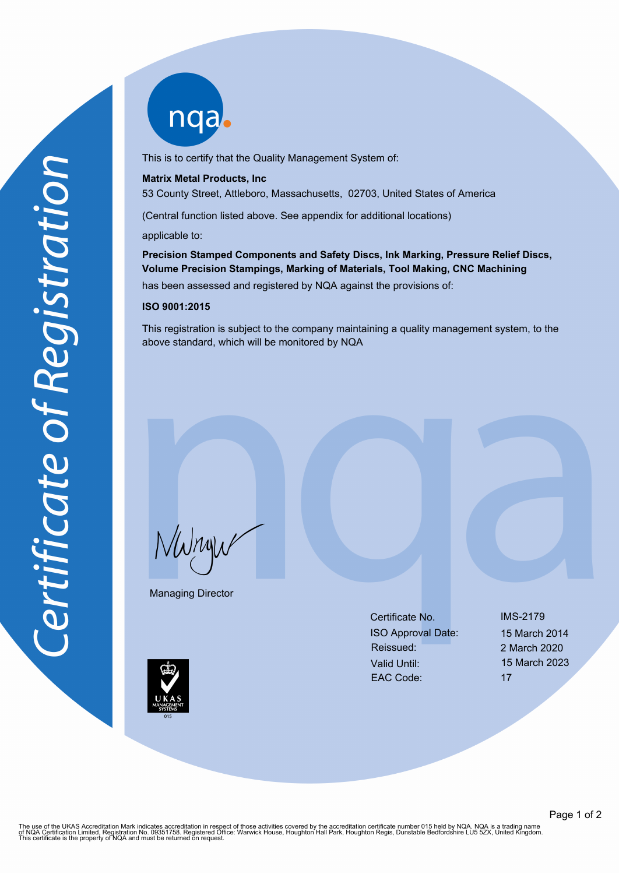nqab

This is to certify that the Quality Management System of:

## **Matrix Metal Products, Inc**

53 County Street, Attleboro, Massachusetts, 02703, United States of America

(Central function listed above. See appendix for additional locations)

applicable to:

**Precision Stamped Components and Safety Discs, Ink Marking, Pressure Relief Discs, Volume Precision Stampings, Marking of Materials, Tool Making, CNC Machining**

has been assessed and registered by NQA against the provisions of:

## **ISO 9001:2015**

This registration is subject to the company maintaining a quality management system, to the above standard, which will be monitored by NQA

NWnyw

Managing Director

Certificate No. IMS-2179 ISO Approval Date: 15 March 2014 Reissued: 2 March 2020 Valid Until: 15 March 2023 EAC Code: 17